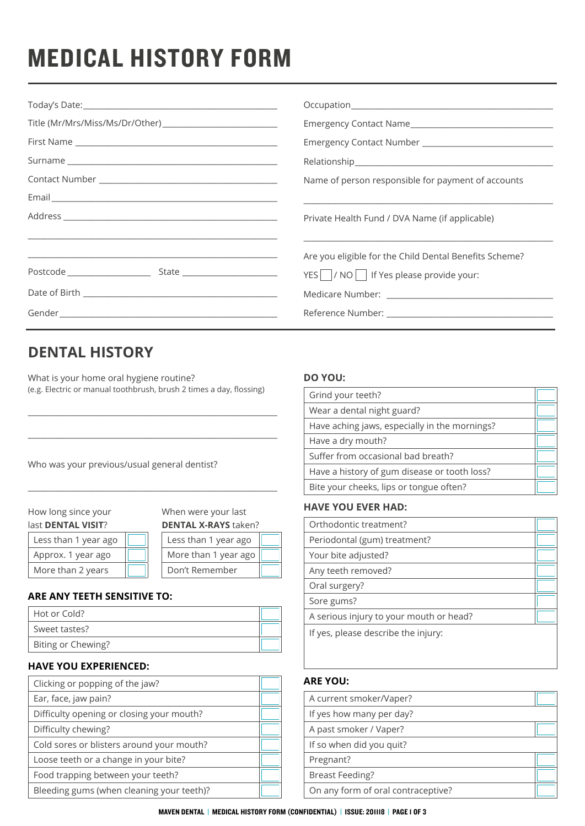# MEDICAL HISTORY FORM

|                                                                                                                       | Name of person responsible for payment of accounts                                                 |
|-----------------------------------------------------------------------------------------------------------------------|----------------------------------------------------------------------------------------------------|
|                                                                                                                       |                                                                                                    |
|                                                                                                                       | Private Health Fund / DVA Name (if applicable)                                                     |
| <u> 1989 - Johann Harry Harry Harry Harry Harry Harry Harry Harry Harry Harry Harry Harry Harry Harry Harry Harry</u> | Are you eligible for the Child Dental Benefits Scheme?<br>$YES$ / NO   If Yes please provide your: |
|                                                                                                                       |                                                                                                    |
|                                                                                                                       |                                                                                                    |
|                                                                                                                       |                                                                                                    |

## **DENTAL HISTORY**

What is your home oral hygiene routine? (e.g. Electric or manual toothbrush, brush 2 times a day, flossing)

\_\_\_\_\_\_\_\_\_\_\_\_\_\_\_\_\_\_\_\_\_\_\_\_\_\_\_\_\_\_\_\_\_\_\_\_\_\_\_\_\_\_\_\_\_\_\_\_\_\_\_\_\_\_\_\_\_\_\_\_\_\_\_

\_\_\_\_\_\_\_\_\_\_\_\_\_\_\_\_\_\_\_\_\_\_\_\_\_\_\_\_\_\_\_\_\_\_\_\_\_\_\_\_\_\_\_\_\_\_\_\_\_\_\_\_\_\_\_\_\_\_\_\_\_\_\_

\_\_\_\_\_\_\_\_\_\_\_\_\_\_\_\_\_\_\_\_\_\_\_\_\_\_\_\_\_\_\_\_\_\_\_\_\_\_\_\_\_\_\_\_\_\_\_\_\_\_\_\_\_\_\_\_\_\_\_\_\_\_\_

Ī

Who was your previous/usual general dentist?

How long since your last **DENTAL VISIT**?

## When were your last **DENTAL X-RAYS** taken?

| Less than 1 year ago |  |
|----------------------|--|
| Approx. 1 year ago   |  |
| More than 2 years    |  |

| Less than 1 year ago |  |
|----------------------|--|
| More than 1 year ago |  |
| Don't Remember       |  |

## **ARE ANY TEETH SENSITIVE TO:**

| Hot or Cold?       |  |
|--------------------|--|
| Sweet tastes?      |  |
| Biting or Chewing? |  |

### **HAVE YOU EXPERIENCED:**

| Clicking or popping of the jaw?           |  |
|-------------------------------------------|--|
| Ear, face, jaw pain?                      |  |
| Difficulty opening or closing your mouth? |  |
| Difficulty chewing?                       |  |
| Cold sores or blisters around your mouth? |  |
| Loose teeth or a change in your bite?     |  |
| Food trapping between your teeth?         |  |
| Bleeding gums (when cleaning your teeth)? |  |

### **DO YOU:**

| Grind your teeth?                             |  |
|-----------------------------------------------|--|
| Wear a dental night guard?                    |  |
| Have aching jaws, especially in the mornings? |  |
| Have a dry mouth?                             |  |
| Suffer from occasional bad breath?            |  |
| Have a history of gum disease or tooth loss?  |  |
| Bite your cheeks, lips or tongue often?       |  |

#### **HAVE YOU EVER HAD:**

| Orthodontic treatment?                  |  |
|-----------------------------------------|--|
| Periodontal (gum) treatment?            |  |
| Your bite adjusted?                     |  |
| Any teeth removed?                      |  |
| Oral surgery?                           |  |
| Sore gums?                              |  |
| A serious injury to your mouth or head? |  |
| If yes, please describe the injury:     |  |

#### **ARE YOU:**

| A current smoker/Vaper?            |  |
|------------------------------------|--|
| If yes how many per day?           |  |
| A past smoker / Vaper?             |  |
| If so when did you quit?           |  |
| Pregnant?                          |  |
| <b>Breast Feeding?</b>             |  |
| On any form of oral contraceptive? |  |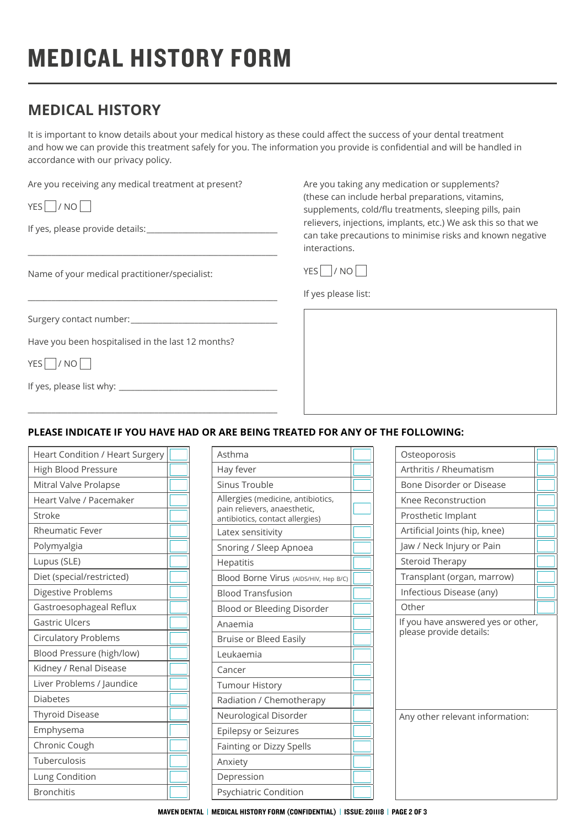# MEDICAL HISTORY FORM

## **MEDICAL HISTORY**

It is important to know details about your medical history as these could affect the success of your dental treatment and how we can provide this treatment safely for you. The information you provide is confidential and will be handled in accordance with our privacy policy.

Are you receiving any medical treatment at present?

\_\_\_\_\_\_\_\_\_\_\_\_\_\_\_\_\_\_\_\_\_\_\_\_\_\_\_\_\_\_\_\_\_\_\_\_\_\_\_\_\_\_\_\_\_\_\_\_\_\_\_\_\_\_\_\_\_\_\_\_\_\_\_

\_\_\_\_\_\_\_\_\_\_\_\_\_\_\_\_\_\_\_\_\_\_\_\_\_\_\_\_\_\_\_\_\_\_\_\_\_\_\_\_\_\_\_\_\_\_\_\_\_\_\_\_\_\_\_\_\_\_\_\_\_\_\_

\_\_\_\_\_\_\_\_\_\_\_\_\_\_\_\_\_\_\_\_\_\_\_\_\_\_\_\_\_\_\_\_\_\_\_\_\_\_\_\_\_\_\_\_\_\_\_\_\_\_\_\_\_\_\_\_\_\_\_\_\_\_\_

|  | 817 |  |
|--|-----|--|
|  |     |  |

If yes, please provide details:\_\_\_\_\_\_\_\_\_\_\_\_\_\_\_\_\_\_\_\_\_\_\_\_\_\_\_\_\_\_\_\_\_

Name of your medical practitioner/specialist:

Are you taking any medication or supplements? (these can include herbal preparations, vitamins, supplements, cold/flu treatments, sleeping pills, pain relievers, injections, implants, etc.) We ask this so that we can take precautions to minimise risks and known negative interactions.



If yes please list:

Surgery contact number:\_\_\_\_\_\_\_\_\_\_\_\_\_\_\_\_\_\_\_\_\_\_\_\_\_\_\_\_\_\_\_\_\_\_\_\_\_

Have you been hospitalised in the last 12 months?

 $YES$  / NO

If yes, please list why: \_\_\_\_\_\_\_\_\_\_\_\_\_\_\_\_\_\_\_\_\_\_\_\_\_\_\_\_\_\_\_\_\_\_\_\_\_\_\_\_

## **PLEASE INDICATE IF YOU HAVE HAD OR ARE BEING TREATED FOR ANY OF THE FOLLOWING:**

| Heart Condition / Heart Surgery |  |
|---------------------------------|--|
| <b>High Blood Pressure</b>      |  |
| Mitral Valve Prolapse           |  |
| Heart Valve / Pacemaker         |  |
| Stroke                          |  |
| <b>Rheumatic Fever</b>          |  |
| Polymyalgia                     |  |
| Lupus (SLE)                     |  |
| Diet (special/restricted)       |  |
| Digestive Problems              |  |
| Gastroesophageal Reflux         |  |
| <b>Gastric Ulcers</b>           |  |
| <b>Circulatory Problems</b>     |  |
| Blood Pressure (high/low)       |  |
| Kidney / Renal Disease          |  |
| Liver Problems / Jaundice       |  |
| <b>Diabetes</b>                 |  |
| <b>Thyroid Disease</b>          |  |
| Emphysema                       |  |
| Chronic Cough                   |  |
| Tuberculosis                    |  |
| Lung Condition                  |  |
| <b>Bronchitis</b>               |  |

| Asthma                                                                                               |  |
|------------------------------------------------------------------------------------------------------|--|
| Hay fever                                                                                            |  |
| Sinus Trouble                                                                                        |  |
| Allergies (medicine, antibiotics,<br>pain relievers, anaesthetic,<br>antibiotics, contact allergies) |  |
| Latex sensitivity                                                                                    |  |
| Snoring / Sleep Apnoea                                                                               |  |
| Hepatitis                                                                                            |  |
| Blood Borne Virus (AIDS/HIV, Hep B/C)                                                                |  |
| <b>Blood Transfusion</b>                                                                             |  |
| <b>Blood or Bleeding Disorder</b>                                                                    |  |
| Anaemia                                                                                              |  |
| <b>Bruise or Bleed Easily</b>                                                                        |  |
| Leukaemia                                                                                            |  |
| Cancer                                                                                               |  |
| <b>Tumour History</b>                                                                                |  |
| Radiation / Chemotherapy                                                                             |  |
| Neurological Disorder                                                                                |  |
| Epilepsy or Seizures                                                                                 |  |
| Fainting or Dizzy Spells                                                                             |  |
| Anxiety                                                                                              |  |
| Depression                                                                                           |  |
| Psychiatric Condition                                                                                |  |

| Arthritis / Rheumatism                                        |  |
|---------------------------------------------------------------|--|
| Bone Disorder or Disease                                      |  |
| Knee Reconstruction                                           |  |
| Prosthetic Implant                                            |  |
| Artificial Joints (hip, knee)                                 |  |
| Jaw / Neck Injury or Pain                                     |  |
| <b>Steroid Therapy</b>                                        |  |
| Transplant (organ, marrow)                                    |  |
| Infectious Disease (any)                                      |  |
| Other                                                         |  |
| If you have answered yes or other,<br>please provide details: |  |
|                                                               |  |

MAVEN DENTAL | MEDICAL HISTORY FORM (CONFIDENTIAL) | ISSUE: 201118 | PAGE 2 OF 3